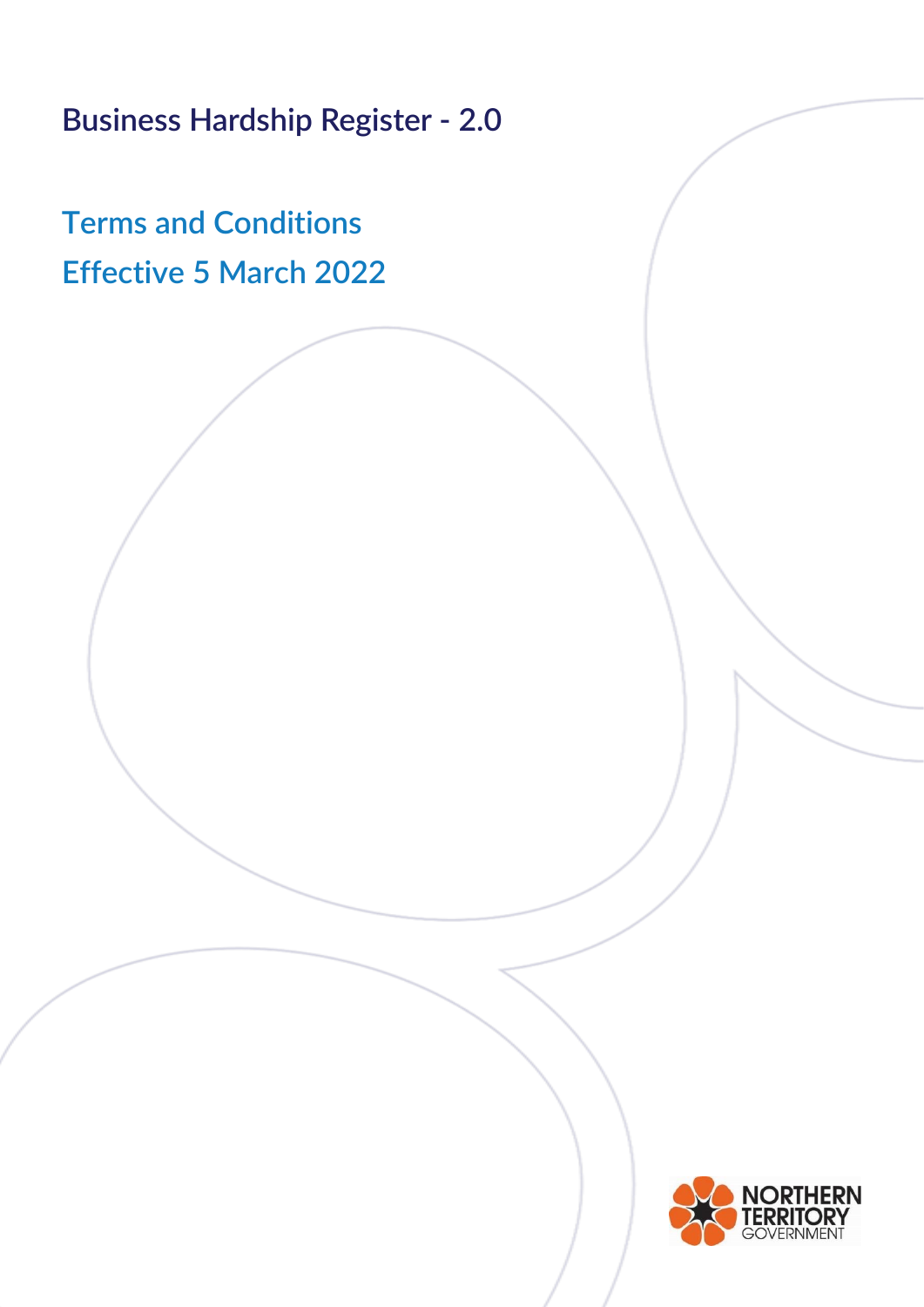**Business Hardship Register - 2.0**

**Terms and Conditions Effective 5 March 2022**

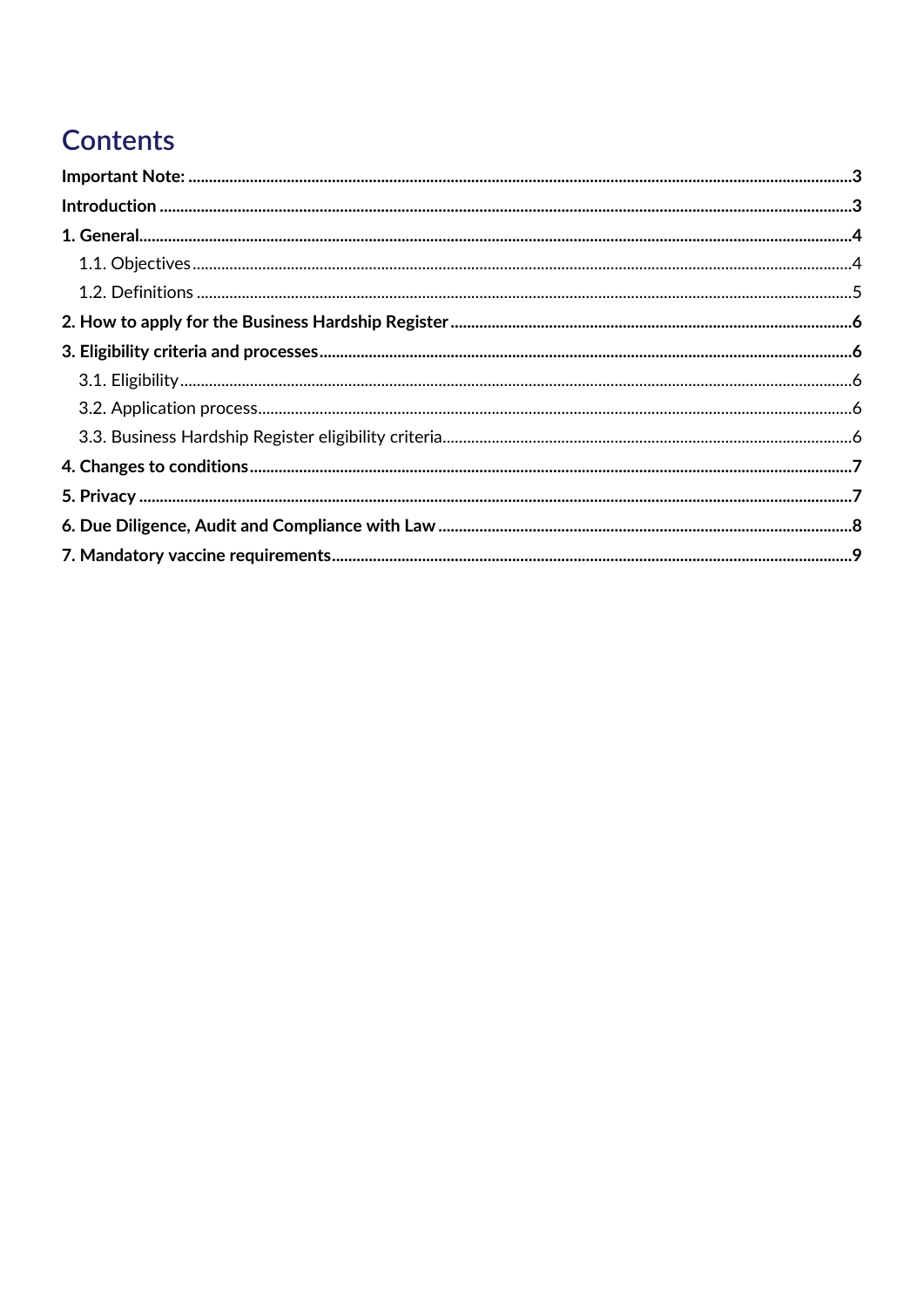# Contents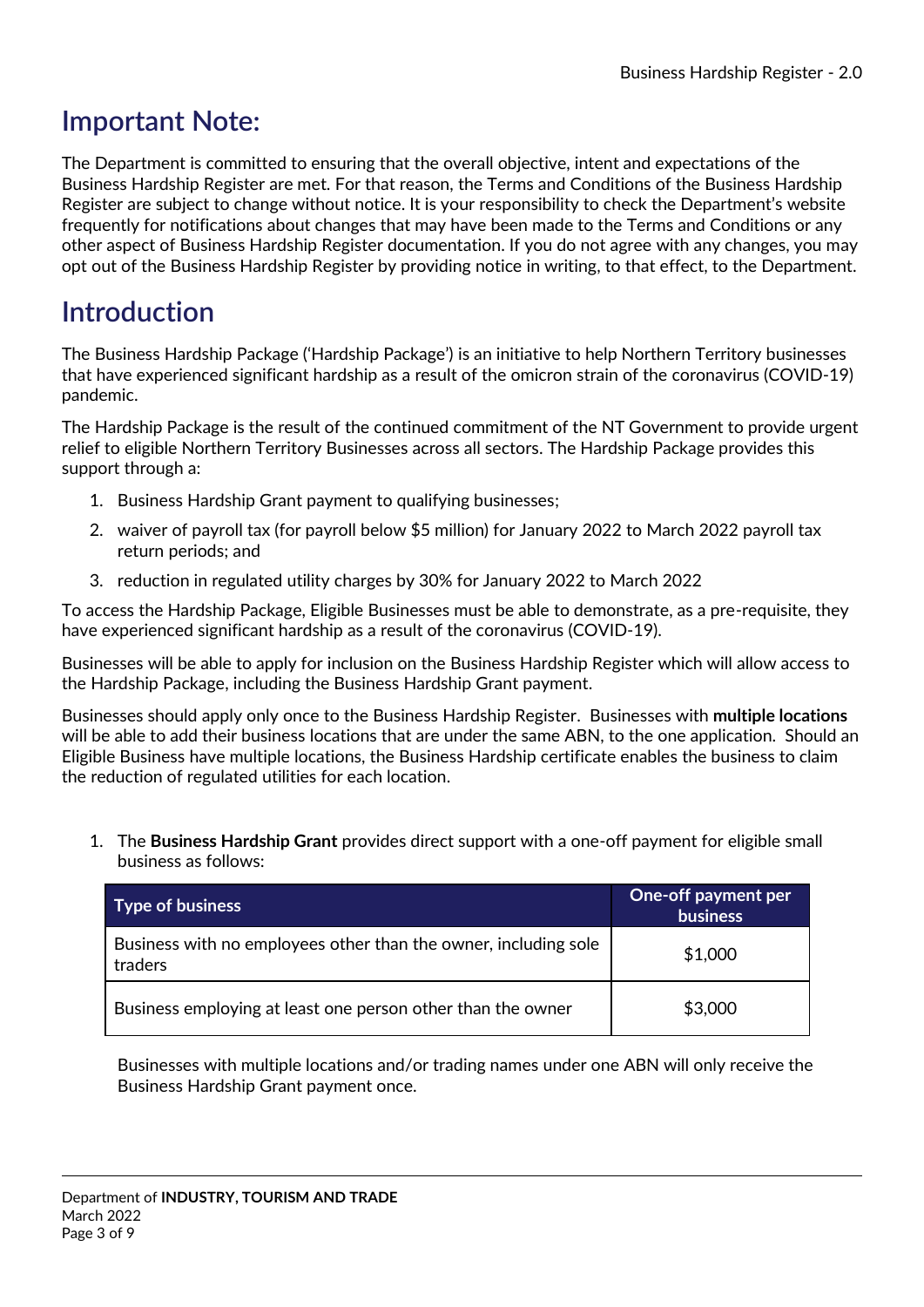## <span id="page-2-0"></span>**Important Note:**

The Department is committed to ensuring that the overall objective, intent and expectations of the Business Hardship Register are met. For that reason, the Terms and Conditions of the Business Hardship Register are subject to change without notice. It is your responsibility to check the Department's website frequently for notifications about changes that may have been made to the Terms and Conditions or any other aspect of Business Hardship Register documentation. If you do not agree with any changes, you may opt out of the Business Hardship Register by providing notice in writing, to that effect, to the Department.

## <span id="page-2-1"></span>**Introduction**

The Business Hardship Package ('Hardship Package') is an initiative to help Northern Territory businesses that have experienced significant hardship as a result of the omicron strain of the coronavirus (COVID-19) pandemic.

The Hardship Package is the result of the continued commitment of the NT Government to provide urgent relief to eligible Northern Territory Businesses across all sectors. The Hardship Package provides this support through a:

- 1. Business Hardship Grant payment to qualifying businesses;
- 2. waiver of payroll tax (for payroll below \$5 million) for January 2022 to March 2022 payroll tax return periods; and
- 3. reduction in regulated utility charges by 30% for January 2022 to March 2022

To access the Hardship Package, Eligible Businesses must be able to demonstrate, as a pre-requisite, they have experienced significant hardship as a result of the coronavirus (COVID-19).

Businesses will be able to apply for inclusion on the Business Hardship Register which will allow access to the Hardship Package, including the Business Hardship Grant payment.

Businesses should apply only once to the Business Hardship Register. Businesses with **multiple locations** will be able to add their business locations that are under the same ABN, to the one application. Should an Eligible Business have multiple locations, the Business Hardship certificate enables the business to claim the reduction of regulated utilities for each location.

1. The **Business Hardship Grant** provides direct support with a one-off payment for eligible small business as follows:

| <b>Type of business</b>                                                    | One-off payment per<br><b>business</b> |
|----------------------------------------------------------------------------|----------------------------------------|
| Business with no employees other than the owner, including sole<br>traders | \$1,000                                |
| Business employing at least one person other than the owner                | \$3,000                                |

Businesses with multiple locations and/or trading names under one ABN will only receive the Business Hardship Grant payment once.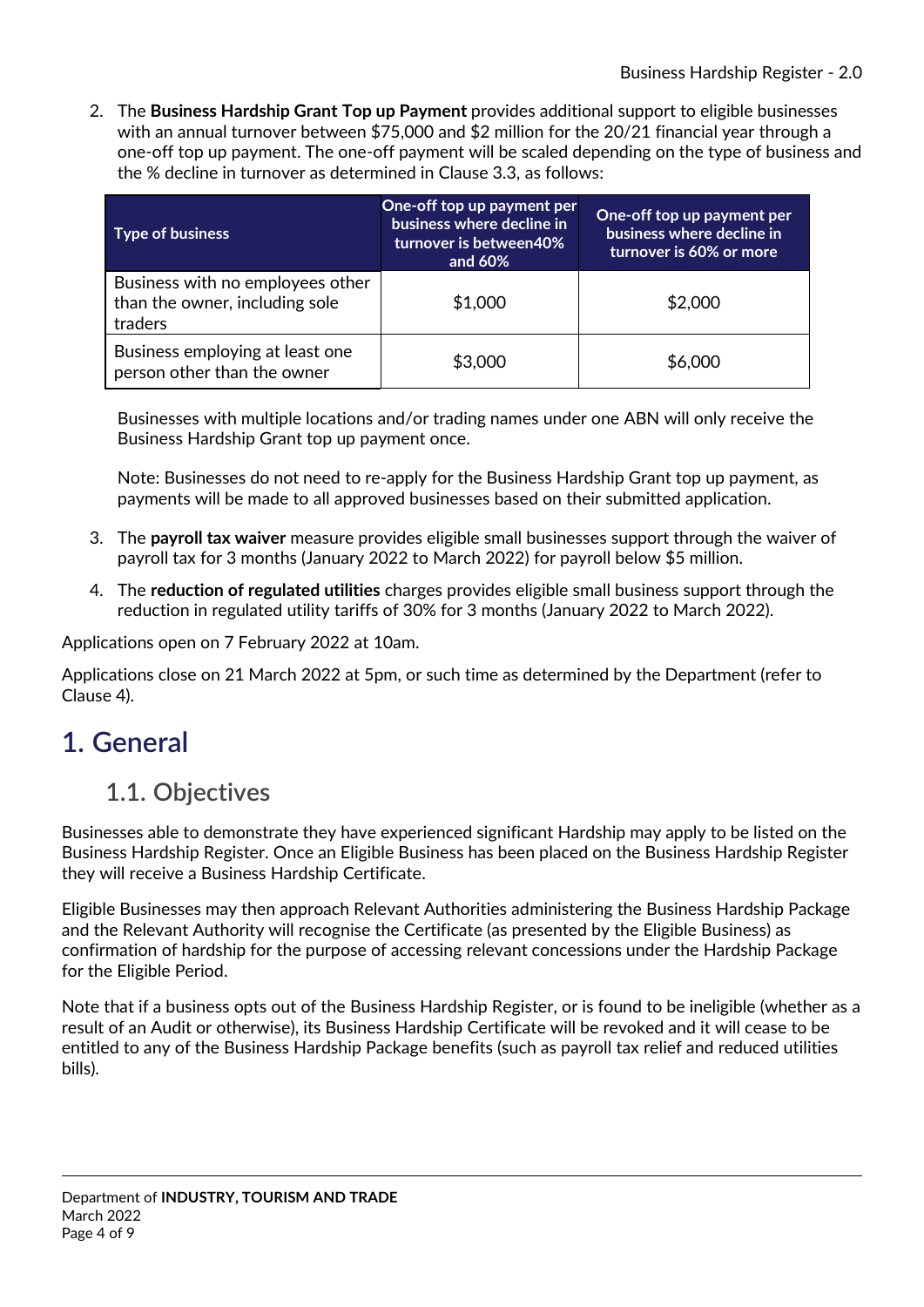2. The **Business Hardship Grant Top up Payment** provides additional support to eligible businesses with an annual turnover between \$75,000 and \$2 million for the 20/21 financial year through a one-off top up payment. The one-off payment will be scaled depending on the type of business and the % decline in turnover as determined in Clause 3.3, as follows:

| <b>Type of business</b>                                                       | One-off top up payment per<br>business where decline in<br>turnover is between40%<br>and 60% | One-off top up payment per<br>business where decline in<br>turnover is 60% or more |
|-------------------------------------------------------------------------------|----------------------------------------------------------------------------------------------|------------------------------------------------------------------------------------|
| Business with no employees other<br>than the owner, including sole<br>traders | \$1,000                                                                                      | \$2,000                                                                            |
| Business employing at least one<br>person other than the owner                | \$3,000                                                                                      | \$6,000                                                                            |

Businesses with multiple locations and/or trading names under one ABN will only receive the Business Hardship Grant top up payment once.

Note: Businesses do not need to re-apply for the Business Hardship Grant top up payment, as payments will be made to all approved businesses based on their submitted application.

- 3. The **payroll tax waiver** measure provides eligible small businesses support through the waiver of payroll tax for 3 months (January 2022 to March 2022) for payroll below \$5 million.
- 4. The **reduction of regulated utilities** charges provides eligible small business support through the reduction in regulated utility tariffs of 30% for 3 months (January 2022 to March 2022).

Applications open on 7 February 2022 at 10am.

Applications close on 21 March 2022 at 5pm, or such time as determined by the Department (refer to Clause 4).

### <span id="page-3-1"></span><span id="page-3-0"></span>**1. General**

#### **1.1. Objectives**

Businesses able to demonstrate they have experienced significant Hardship may apply to be listed on the Business Hardship Register. Once an Eligible Business has been placed on the Business Hardship Register they will receive a Business Hardship Certificate.

Eligible Businesses may then approach Relevant Authorities administering the Business Hardship Package and the Relevant Authority will recognise the Certificate (as presented by the Eligible Business) as confirmation of hardship for the purpose of accessing relevant concessions under the Hardship Package for the Eligible Period.

Note that if a business opts out of the Business Hardship Register, or is found to be ineligible (whether as a result of an Audit or otherwise), its Business Hardship Certificate will be revoked and it will cease to be entitled to any of the Business Hardship Package benefits (such as payroll tax relief and reduced utilities bills).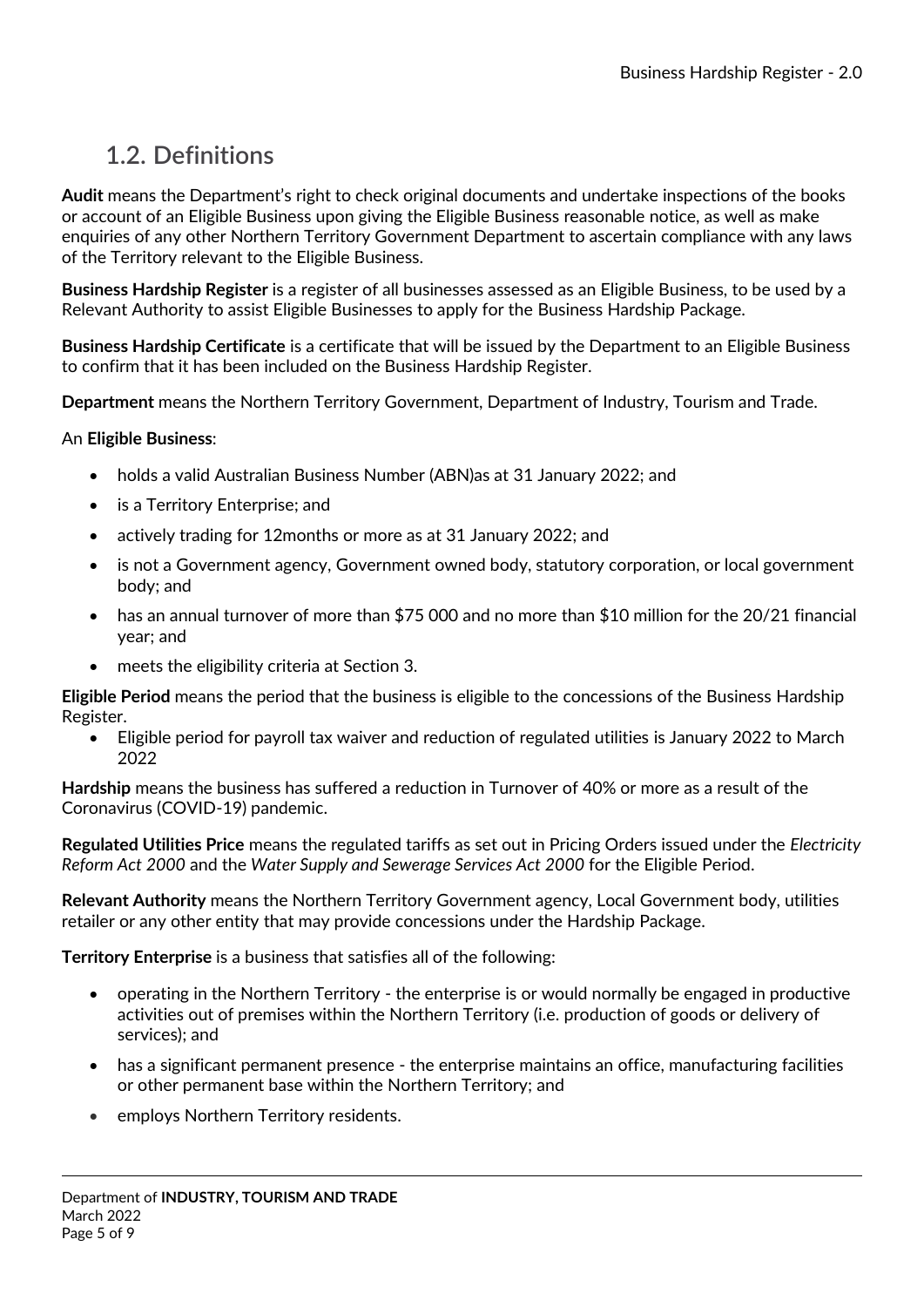### <span id="page-4-0"></span>**1.2. Definitions**

**Audit** means the Department's right to check original documents and undertake inspections of the books or account of an Eligible Business upon giving the Eligible Business reasonable notice, as well as make enquiries of any other Northern Territory Government Department to ascertain compliance with any laws of the Territory relevant to the Eligible Business.

**Business Hardship Register** is a register of all businesses assessed as an Eligible Business, to be used by a Relevant Authority to assist Eligible Businesses to apply for the Business Hardship Package.

**Business Hardship Certificate** is a certificate that will be issued by the Department to an Eligible Business to confirm that it has been included on the Business Hardship Register.

**Department** means the Northern Territory Government, Department of Industry, Tourism and Trade.

An **Eligible Business**:

- holds a valid Australian Business Number (ABN)as at 31 January 2022; and
- is a Territory Enterprise; and
- actively trading for 12months or more as at 31 January 2022; and
- is not a Government agency, Government owned body, statutory corporation, or local government body; and
- has an annual turnover of more than \$75 000 and no more than \$10 million for the 20/21 financial year; and
- meets the eligibility criteria at Section 3.

**Eligible Period** means the period that the business is eligible to the concessions of the Business Hardship Register.

 Eligible period for payroll tax waiver and reduction of regulated utilities is January 2022 to March 2022

**Hardship** means the business has suffered a reduction in Turnover of 40% or more as a result of the Coronavirus (COVID-19) pandemic.

**Regulated Utilities Price** means the regulated tariffs as set out in Pricing Orders issued under the *Electricity Reform Act 2000* and the *Water Supply and Sewerage Services Act 2000* for the Eligible Period.

**Relevant Authority** means the Northern Territory Government agency, Local Government body, utilities retailer or any other entity that may provide concessions under the Hardship Package.

**Territory Enterprise** is a business that satisfies all of the following:

- operating in the Northern Territory the enterprise is or would normally be engaged in productive activities out of premises within the Northern Territory (i.e. production of goods or delivery of services); and
- has a significant permanent presence the enterprise maintains an office, manufacturing facilities or other permanent base within the Northern Territory; and
- **•** employs Northern Territory residents.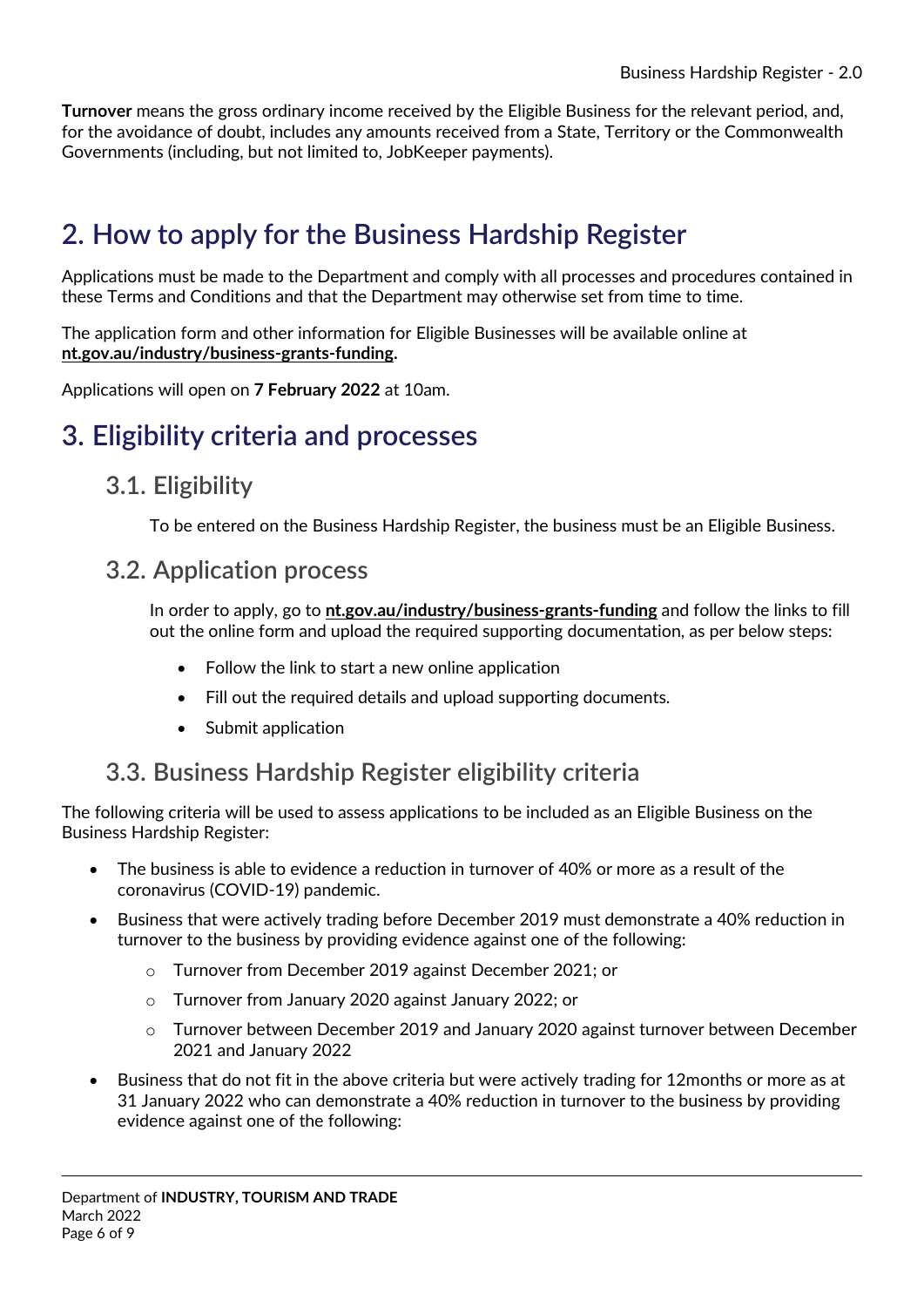**Turnover** means the gross ordinary income received by the Eligible Business for the relevant period, and, for the avoidance of doubt, includes any amounts received from a State, Territory or the Commonwealth Governments (including, but not limited to, JobKeeper payments).

## <span id="page-5-0"></span>**2. How to apply for the Business Hardship Register**

Applications must be made to the Department and comply with all processes and procedures contained in these Terms and Conditions and that the Department may otherwise set from time to time.

The application form and other information for Eligible Businesses will be available online at **[nt.gov.au/industry/business-grants-funding.](https://nt.gov.au/industry/business-grants-funding)**

Applications will open on **7 February 2022** at 10am.

### <span id="page-5-2"></span><span id="page-5-1"></span>**3. Eligibility criteria and processes**

#### **3.1. Eligibility**

To be entered on the Business Hardship Register, the business must be an Eligible Business.

#### <span id="page-5-3"></span>**3.2. Application process**

In order to apply, go to **[nt.gov.au/industry/business-grants-funding](https://nt.gov.au/industry/business-grants-funding)** and follow the links to fill out the online form and upload the required supporting documentation, as per below steps:

- Follow the link to start a new online application
- Fill out the required details and upload supporting documents.
- Submit application

### <span id="page-5-4"></span>**3.3. Business Hardship Register eligibility criteria**

The following criteria will be used to assess applications to be included as an Eligible Business on the Business Hardship Register:

- The business is able to evidence a reduction in turnover of 40% or more as a result of the coronavirus (COVID-19) pandemic.
- Business that were actively trading before December 2019 must demonstrate a 40% reduction in turnover to the business by providing evidence against one of the following:
	- o Turnover from December 2019 against December 2021; or
	- o Turnover from January 2020 against January 2022; or
	- o Turnover between December 2019 and January 2020 against turnover between December 2021 and January 2022
- Business that do not fit in the above criteria but were actively trading for 12months or more as at 31 January 2022 who can demonstrate a 40% reduction in turnover to the business by providing evidence against one of the following: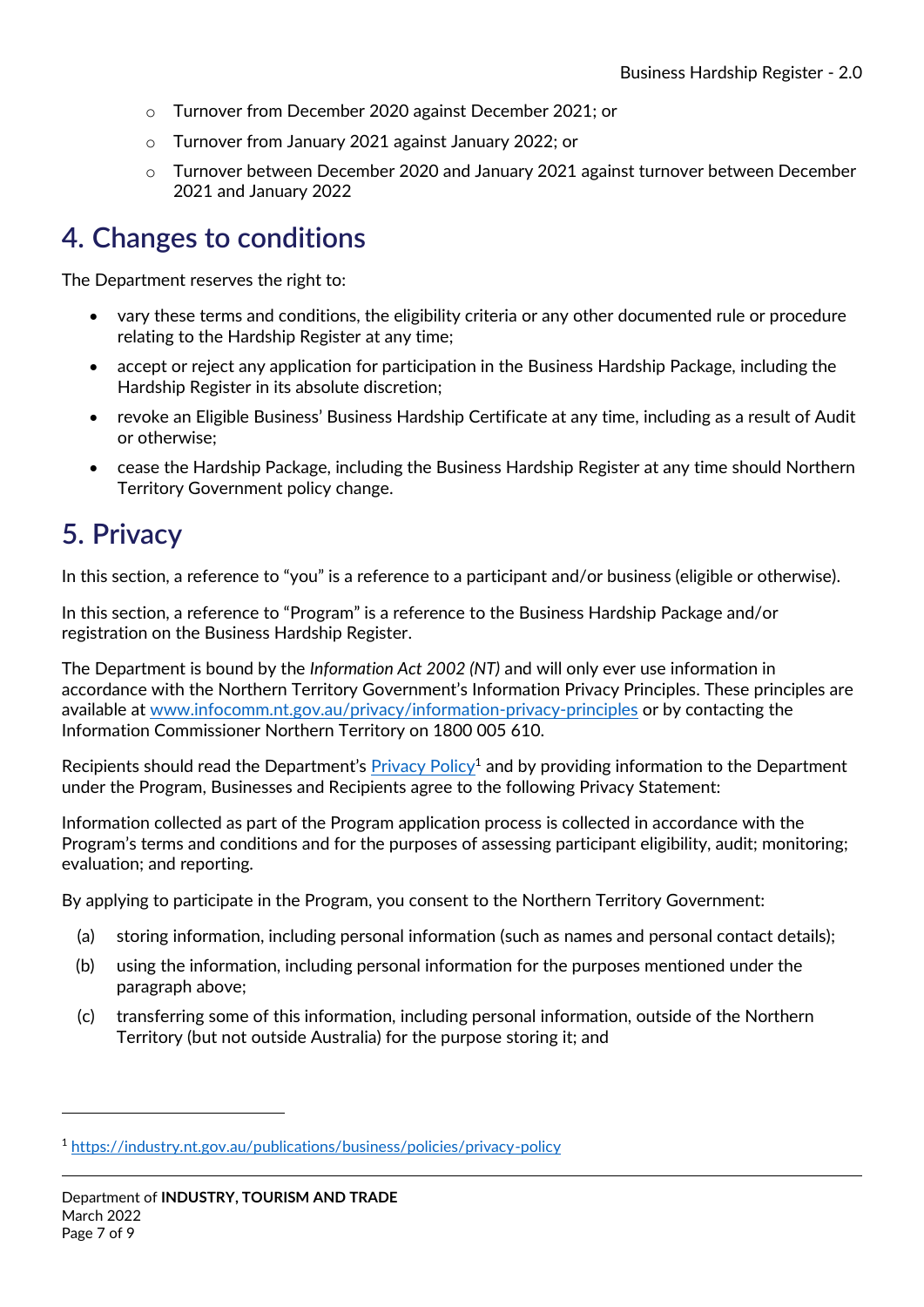- o Turnover from December 2020 against December 2021; or
- o Turnover from January 2021 against January 2022; or
- o Turnover between December 2020 and January 2021 against turnover between December 2021 and January 2022

## <span id="page-6-0"></span>**4. Changes to conditions**

The Department reserves the right to:

- vary these terms and conditions, the eligibility criteria or any other documented rule or procedure relating to the Hardship Register at any time;
- accept or reject any application for participation in the Business Hardship Package, including the Hardship Register in its absolute discretion;
- revoke an Eligible Business' Business Hardship Certificate at any time, including as a result of Audit or otherwise;
- cease the Hardship Package, including the Business Hardship Register at any time should Northern Territory Government policy change.

## <span id="page-6-1"></span>**5. Privacy**

-

In this section, a reference to "you" is a reference to a participant and/or business (eligible or otherwise).

In this section, a reference to "Program" is a reference to the Business Hardship Package and/or registration on the Business Hardship Register.

The Department is bound by the *Information Act 2002 (NT)* and will only ever use information in accordance with the Northern Territory Government's Information Privacy Principles. These principles are available at [www.infocomm.nt.gov.au/privacy/information-privacy-principles](http://www.infocomm.nt.gov.au/privacy/information-privacy-principles) or by contacting the Information Commissioner Northern Territory on 1800 005 610.

Recipients should read the Department's Privacy Policy<sup>1</sup> and by providing information to the Department under the Program, Businesses and Recipients agree to the following Privacy Statement:

Information collected as part of the Program application process is collected in accordance with the Program's terms and conditions and for the purposes of assessing participant eligibility, audit; monitoring; evaluation; and reporting.

By applying to participate in the Program, you consent to the Northern Territory Government:

- (a) storing information, including personal information (such as names and personal contact details);
- (b) using the information, including personal information for the purposes mentioned under the paragraph above;
- (c) transferring some of this information, including personal information, outside of the Northern Territory (but not outside Australia) for the purpose storing it; and

<sup>1</sup> <https://industry.nt.gov.au/publications/business/policies/privacy-policy>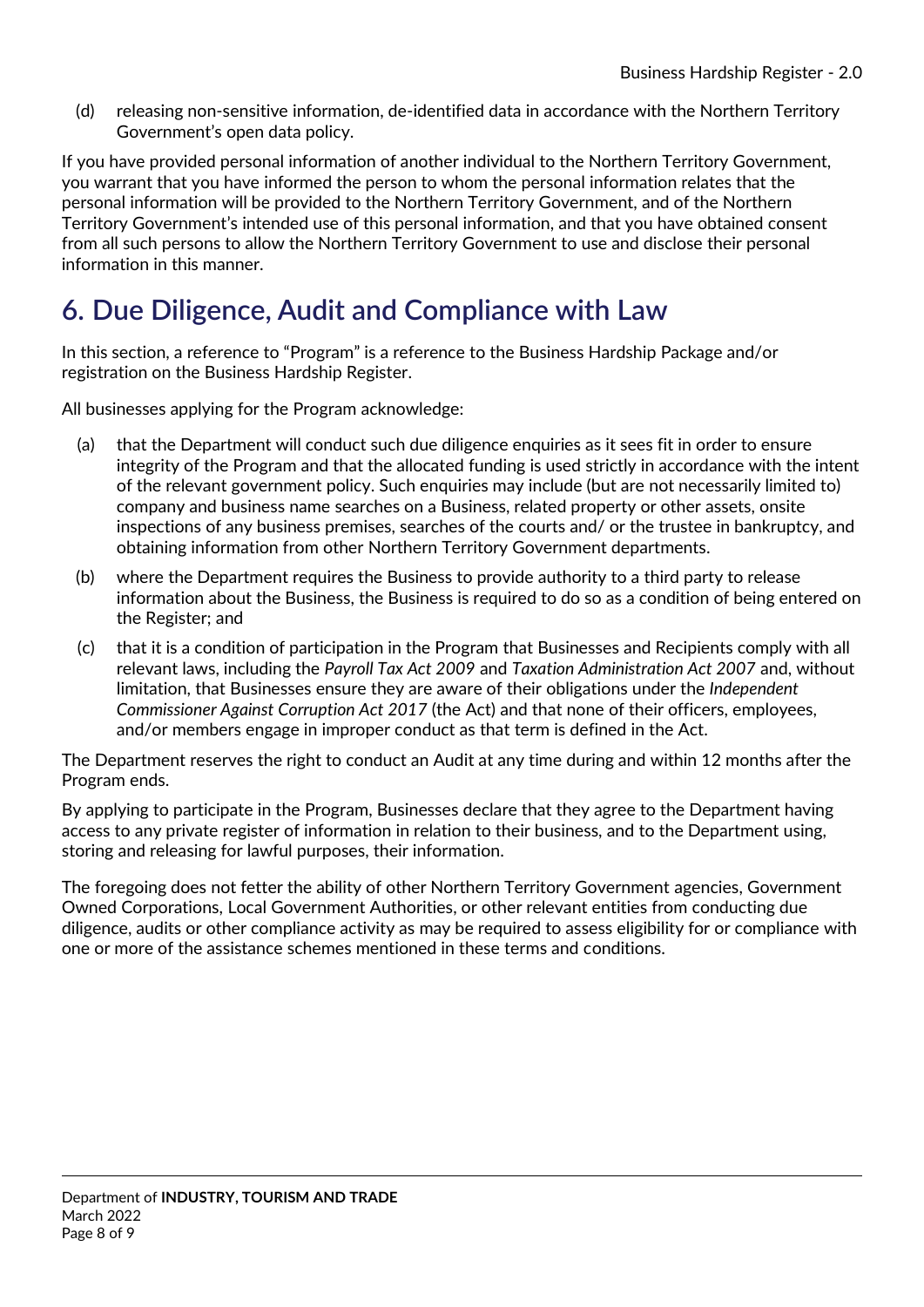(d) releasing non-sensitive information, de-identified data in accordance with the Northern Territory Government's open data policy.

If you have provided personal information of another individual to the Northern Territory Government, you warrant that you have informed the person to whom the personal information relates that the personal information will be provided to the Northern Territory Government, and of the Northern Territory Government's intended use of this personal information, and that you have obtained consent from all such persons to allow the Northern Territory Government to use and disclose their personal information in this manner.

## <span id="page-7-0"></span>**6. Due Diligence, Audit and Compliance with Law**

In this section, a reference to "Program" is a reference to the Business Hardship Package and/or registration on the Business Hardship Register.

All businesses applying for the Program acknowledge:

- (a) that the Department will conduct such due diligence enquiries as it sees fit in order to ensure integrity of the Program and that the allocated funding is used strictly in accordance with the intent of the relevant government policy. Such enquiries may include (but are not necessarily limited to) company and business name searches on a Business, related property or other assets, onsite inspections of any business premises, searches of the courts and/ or the trustee in bankruptcy, and obtaining information from other Northern Territory Government departments.
- (b) where the Department requires the Business to provide authority to a third party to release information about the Business, the Business is required to do so as a condition of being entered on the Register; and
- (c) that it is a condition of participation in the Program that Businesses and Recipients comply with all relevant laws, including the *Payroll Tax Act 2009* and *Taxation Administration Act 2007* and, without limitation, that Businesses ensure they are aware of their obligations under the *Independent Commissioner Against Corruption Act 2017* (the Act) and that none of their officers, employees, and/or members engage in improper conduct as that term is defined in the Act.

The Department reserves the right to conduct an Audit at any time during and within 12 months after the Program ends.

By applying to participate in the Program, Businesses declare that they agree to the Department having access to any private register of information in relation to their business, and to the Department using, storing and releasing for lawful purposes, their information.

The foregoing does not fetter the ability of other Northern Territory Government agencies, Government Owned Corporations, Local Government Authorities, or other relevant entities from conducting due diligence, audits or other compliance activity as may be required to assess eligibility for or compliance with one or more of the assistance schemes mentioned in these terms and conditions.